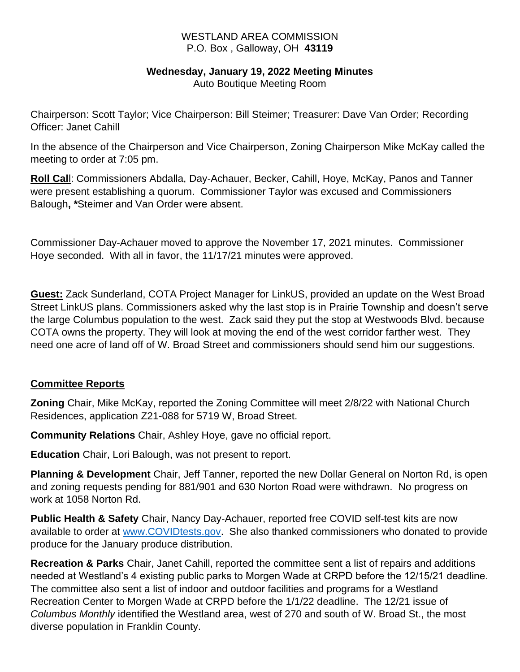#### WESTLAND AREA COMMISSION P.O. Box , Galloway, OH **43119**

#### **Wednesday, January 19, 2022 Meeting Minutes**

Auto Boutique Meeting Room

Chairperson: Scott Taylor; Vice Chairperson: Bill Steimer; Treasurer: Dave Van Order; Recording Officer: Janet Cahill

In the absence of the Chairperson and Vice Chairperson, Zoning Chairperson Mike McKay called the meeting to order at 7:05 pm.

**Roll Cal**l: Commissioners Abdalla, Day-Achauer, Becker, Cahill, Hoye, McKay, Panos and Tanner were present establishing a quorum. Commissioner Taylor was excused and Commissioners Balough**, \***Steimer and Van Order were absent.

Commissioner Day-Achauer moved to approve the November 17, 2021 minutes. Commissioner Hoye seconded. With all in favor, the 11/17/21 minutes were approved.

**Guest:** Zack Sunderland, COTA Project Manager for LinkUS, provided an update on the West Broad Street LinkUS plans. Commissioners asked why the last stop is in Prairie Township and doesn't serve the large Columbus population to the west. Zack said they put the stop at Westwoods Blvd. because COTA owns the property. They will look at moving the end of the west corridor farther west. They need one acre of land off of W. Broad Street and commissioners should send him our suggestions.

## **Committee Reports**

**Zoning** Chair, Mike McKay, reported the Zoning Committee will meet 2/8/22 with National Church Residences, application Z21-088 for 5719 W, Broad Street.

**Community Relations** Chair, Ashley Hoye, gave no official report.

**Education** Chair, Lori Balough, was not present to report.

**Planning & Development** Chair, Jeff Tanner, reported the new Dollar General on Norton Rd, is open and zoning requests pending for 881/901 and 630 Norton Road were withdrawn. No progress on work at 1058 Norton Rd.

**Public Health & Safety** Chair, Nancy Day-Achauer, reported free COVID self-test kits are now available to order at [www.COVIDtests.gov.](http://www.covidtests.gov/) She also thanked commissioners who donated to provide produce for the January produce distribution.

**Recreation & Parks** Chair, Janet Cahill, reported the committee sent a list of repairs and additions needed at Westland's 4 existing public parks to Morgen Wade at CRPD before the 12/15/21 deadline. The committee also sent a list of indoor and outdoor facilities and programs for a Westland Recreation Center to Morgen Wade at CRPD before the 1/1/22 deadline. The 12/21 issue of *Columbus Monthly* identified the Westland area, west of 270 and south of W. Broad St., the most diverse population in Franklin County.